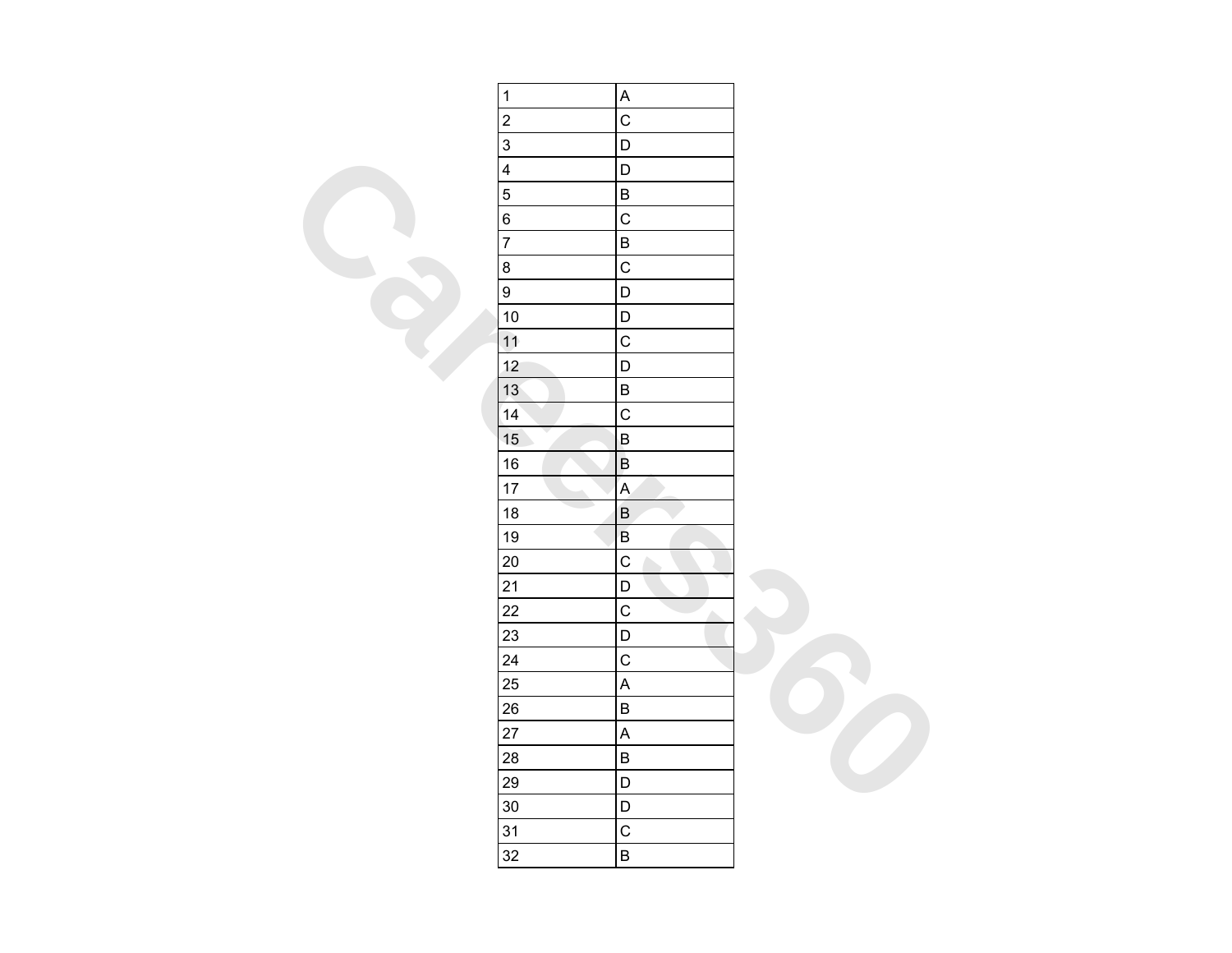| $\mathbf{1}$<br>$\overline{\mathbf{c}}$<br>$\overline{3}$ | A                         |  |
|-----------------------------------------------------------|---------------------------|--|
|                                                           |                           |  |
|                                                           | $\mathsf{C}$              |  |
|                                                           | $\mathsf D$               |  |
| $\overline{\mathbf{4}}$                                   | $\mathsf D$               |  |
| $\overline{5}$                                            | $\sf B$                   |  |
| 6                                                         | $\mathsf{C}$              |  |
| $\overline{7}$                                            | $\sf B$                   |  |
| 8                                                         | $\mathsf{C}$              |  |
| $\overline{9}$                                            | $\overline{\mathsf{D}}$   |  |
| 10                                                        | $\mathsf D$               |  |
| 11                                                        | $\mathsf C$               |  |
| 12                                                        | $\overline{D}$            |  |
| 13                                                        | $\sf B$                   |  |
| 14                                                        | $\mathsf{C}$              |  |
| 15                                                        | $\mathsf B$               |  |
| 16                                                        | $\overline{\mathsf{B}}$   |  |
| 17                                                        | $\mathsf A$               |  |
| 18                                                        | $\overline{B}$            |  |
| 19                                                        | $\mathsf B$               |  |
| 20                                                        | $\mathsf{C}$              |  |
| 21                                                        | $\mathsf D$               |  |
| 22                                                        | $\mathsf{C}$<br>Λ         |  |
| 23                                                        | $\mathsf D$               |  |
| 24                                                        |                           |  |
| 25                                                        | $\boldsymbol{\mathsf{A}}$ |  |
| 26                                                        | $\sf B$                   |  |
| 27                                                        | $\mathsf{A}$              |  |
| 28                                                        | $\sf B$                   |  |
|                                                           | $\mathsf D$               |  |
| 29                                                        |                           |  |
| 30                                                        | $\mathsf{D}$              |  |
| 31<br>32                                                  | $\mathsf C$<br>$\sf B$    |  |
|                                                           | $\overline{C}$            |  |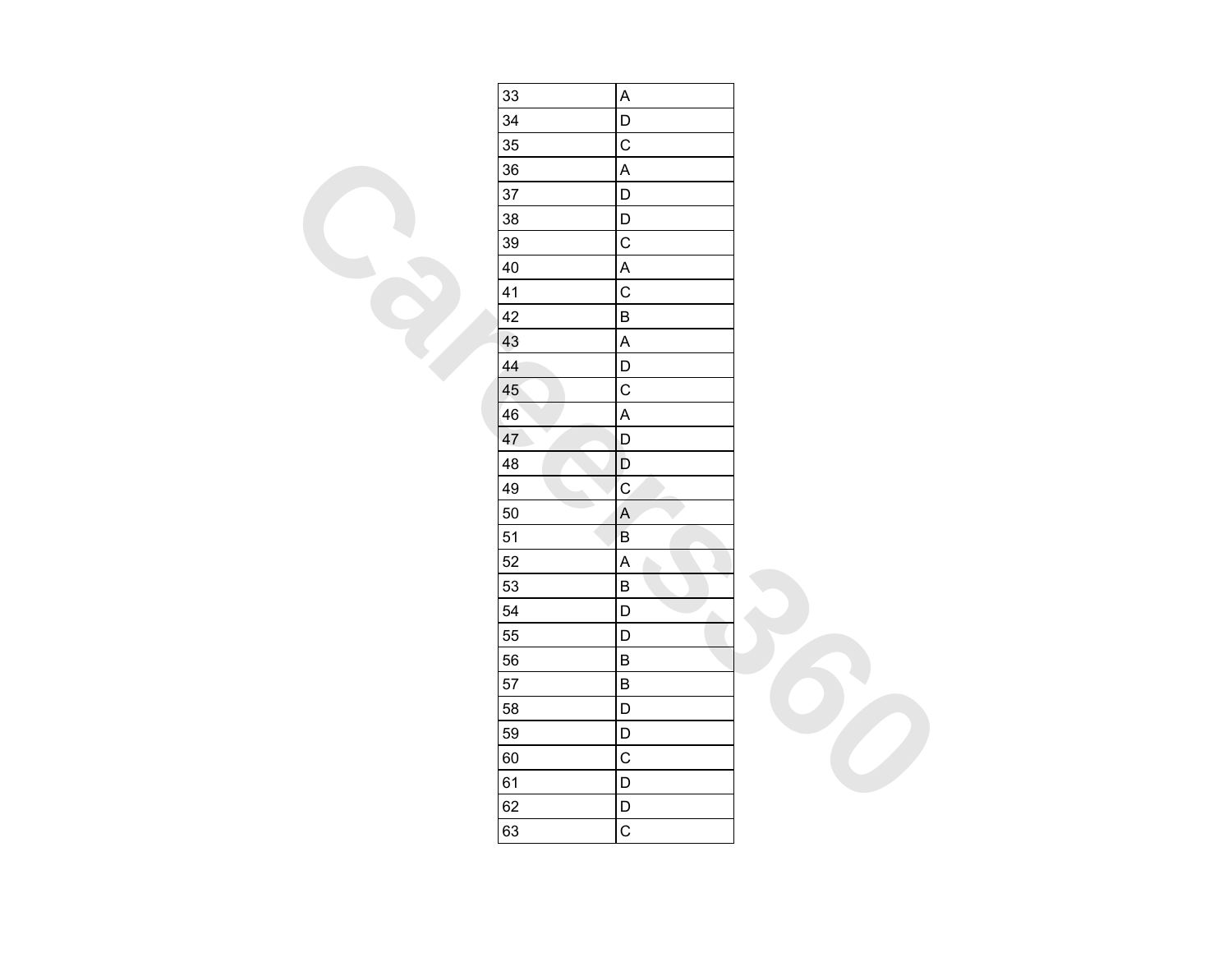| 33 | $\mathsf A$               |  |
|----|---------------------------|--|
| 34 | $\mathsf D$               |  |
| 35 | $\mathsf C$               |  |
| 36 | $\boldsymbol{\mathsf{A}}$ |  |
| 37 | $\mathsf D$               |  |
| 38 | $\mathsf D$               |  |
| 39 | $\overline{C}$            |  |
| 40 | $\boldsymbol{\mathsf{A}}$ |  |
| 41 | $\mathsf{C}$              |  |
| 42 | $\sf B$                   |  |
| 43 | $\mathsf A$               |  |
| 44 | $\mathsf D$               |  |
| 45 | $\mathsf C$               |  |
| 46 | $\boldsymbol{\mathsf{A}}$ |  |
| 47 | D                         |  |
| 48 | $\mathsf D$               |  |
| 49 | $\mathbf C$               |  |
| 50 | $\mathsf{A}$              |  |
| 51 | $\mathsf B$               |  |
| 52 | $\boldsymbol{\mathsf{A}}$ |  |
| 53 | $\sf B$                   |  |
| 54 | $\mathsf D$<br>A.         |  |
| 55 | $\mathsf D$               |  |
| 56 | $\sf B$                   |  |
| 57 | $\sf B$                   |  |
| 58 | $\mathsf D$               |  |
| 59 | $\mathsf D$               |  |
| 60 | $\mathsf C$               |  |
| 61 | $\mathsf D$               |  |
| 62 | $\mathsf D$               |  |
| 63 | $\mathsf C$               |  |
|    |                           |  |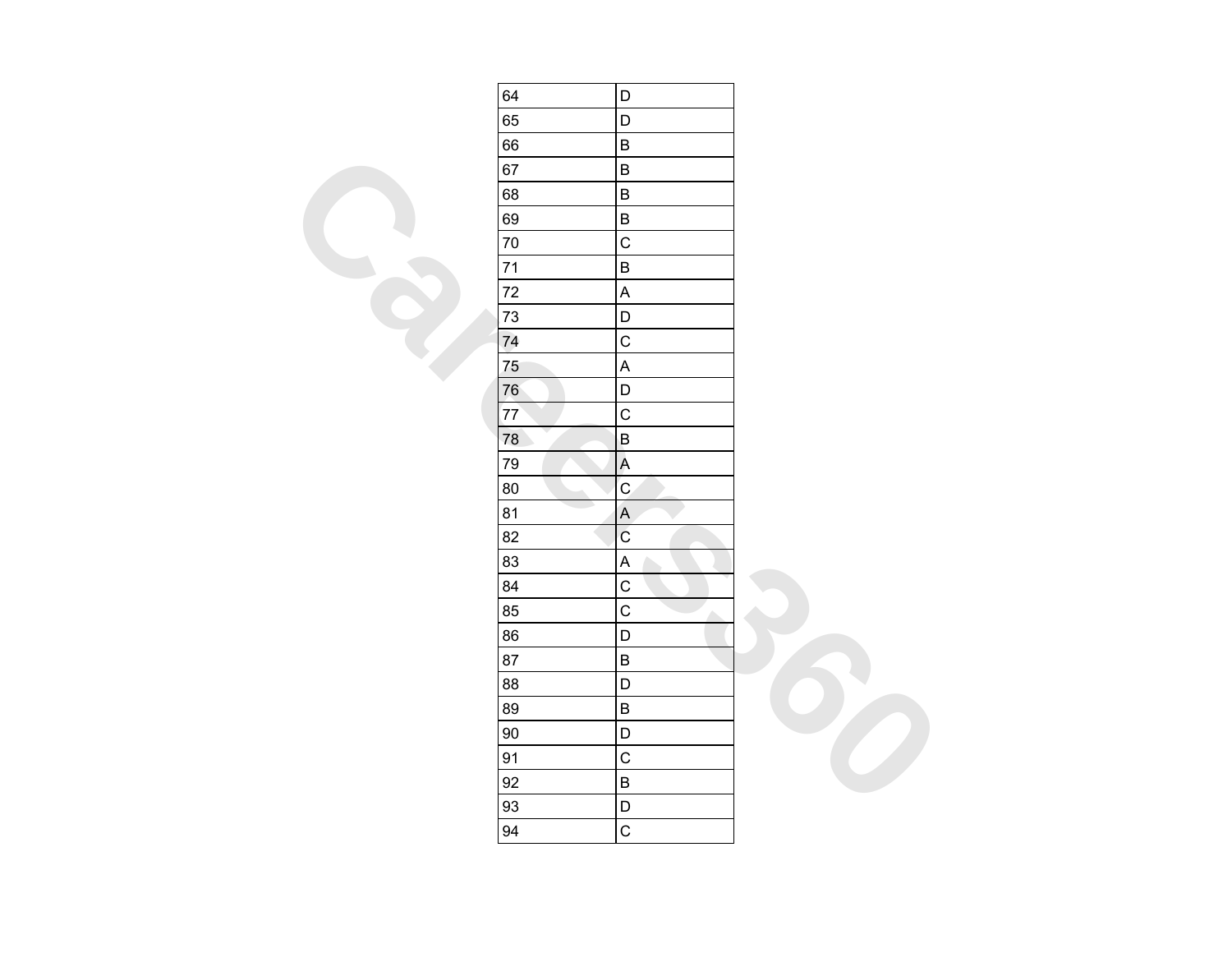| 64 | D                                |  |
|----|----------------------------------|--|
| 65 | $\mathsf D$                      |  |
| 66 | $\sf B$                          |  |
| 67 | $\sf B$                          |  |
| 68 | $\sf B$                          |  |
| 69 | $\sf B$                          |  |
| 70 | $\overline{C}$                   |  |
| 71 | $\sf B$                          |  |
| 72 | $\boldsymbol{\mathsf{A}}$        |  |
| 73 | $\mathsf D$                      |  |
| 74 | $\mathsf{C}$                     |  |
| 75 | $\boldsymbol{\mathsf{A}}$        |  |
| 76 | $\mathsf D$                      |  |
| 77 | $\mathsf{C}$                     |  |
| 78 | $\sf B$                          |  |
| 79 | $\boldsymbol{\mathsf{A}}$        |  |
| 80 | $\mathbf{C}$                     |  |
| 81 | $\mathsf A$                      |  |
| 82 | $\ddot{\rm C}$                   |  |
| 83 | $\boldsymbol{\mathsf{A}}$        |  |
| 84 | $\mathsf C$                      |  |
| 85 | $\overline{c}$<br>A.             |  |
| 86 | $\mathsf D$                      |  |
| 87 | $\sf B$                          |  |
| 88 | $\mathsf D$                      |  |
| 89 | $\sf B$                          |  |
| 90 | $\begin{array}{c} \n\end{array}$ |  |
| 91 | $\mathsf C$                      |  |
| 92 | $\sf B$                          |  |
| 93 | $\mathsf D$                      |  |
| 94 | $\mathbf C$                      |  |
|    |                                  |  |